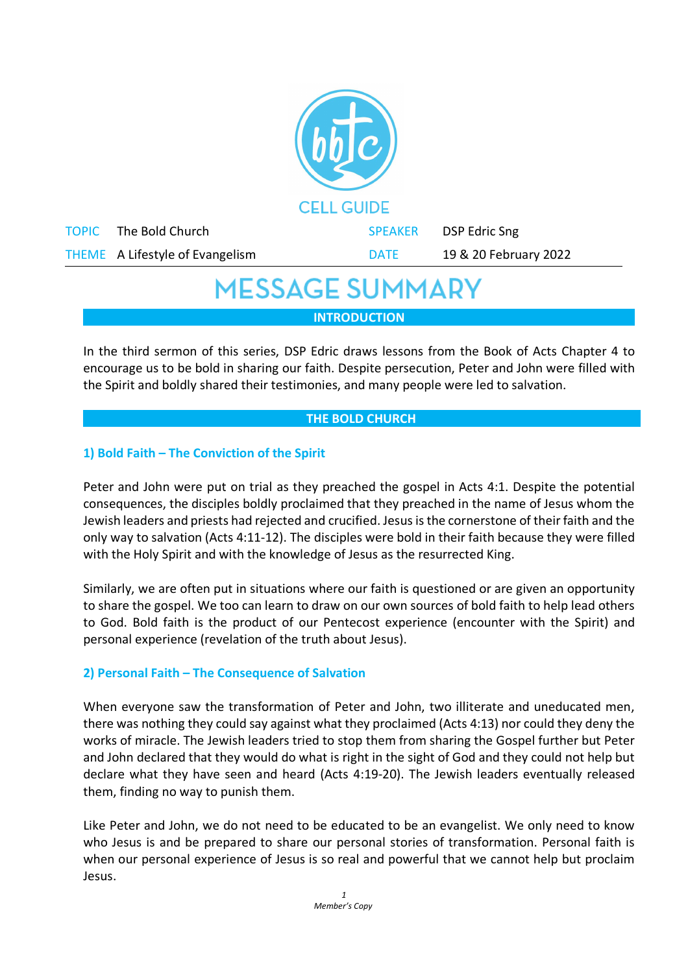

## **MESSAGE SUMMARY**

**INTRODUCTION**

In the third sermon of this series, DSP Edric draws lessons from the Book of Acts Chapter 4 to encourage us to be bold in sharing our faith. Despite persecution, Peter and John were filled with the Spirit and boldly shared their testimonies, and many people were led to salvation.

### **THE BOLD CHURCH**

## **1) Bold Faith – The Conviction of the Spirit**

Peter and John were put on trial as they preached the gospel in Acts 4:1. Despite the potential consequences, the disciples boldly proclaimed that they preached in the name of Jesus whom the Jewish leaders and priests had rejected and crucified. Jesus is the cornerstone of their faith and the only way to salvation (Acts 4:11-12). The disciples were bold in their faith because they were filled with the Holy Spirit and with the knowledge of Jesus as the resurrected King.

Similarly, we are often put in situations where our faith is questioned or are given an opportunity to share the gospel. We too can learn to draw on our own sources of bold faith to help lead others to God. Bold faith is the product of our Pentecost experience (encounter with the Spirit) and personal experience (revelation of the truth about Jesus).

## **2) Personal Faith – The Consequence of Salvation**

When everyone saw the transformation of Peter and John, two illiterate and uneducated men, there was nothing they could say against what they proclaimed (Acts 4:13) nor could they deny the works of miracle. The Jewish leaders tried to stop them from sharing the Gospel further but Peter and John declared that they would do what is right in the sight of God and they could not help but declare what they have seen and heard (Acts 4:19-20). The Jewish leaders eventually released them, finding no way to punish them.

Like Peter and John, we do not need to be educated to be an evangelist. We only need to know who Jesus is and be prepared to share our personal stories of transformation. Personal faith is when our personal experience of Jesus is so real and powerful that we cannot help but proclaim Jesus.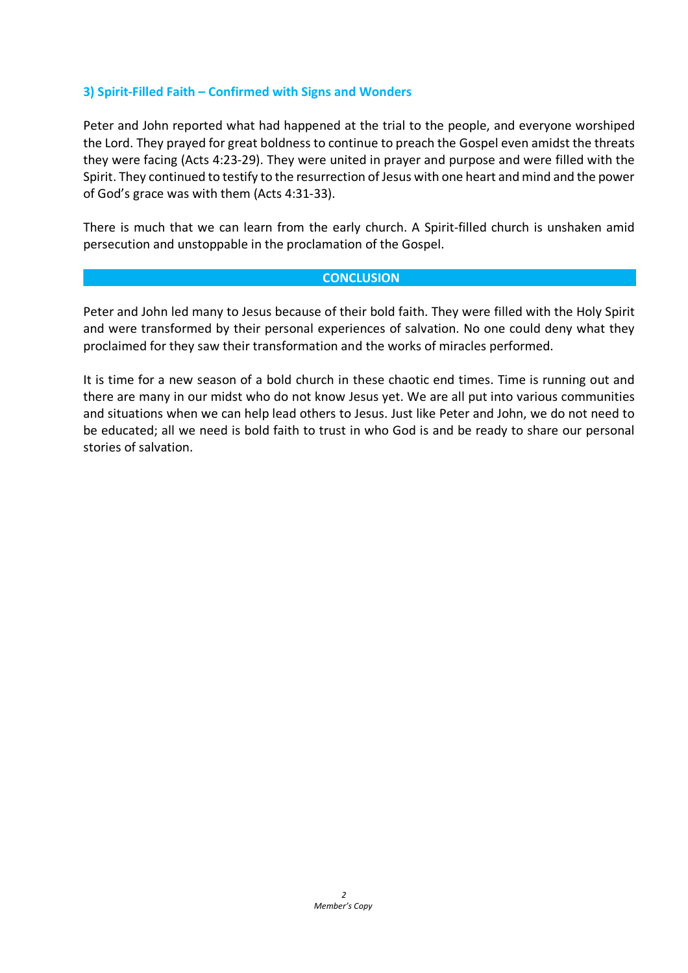### **3) Spirit-Filled Faith – Confirmed with Signs and Wonders**

Peter and John reported what had happened at the trial to the people, and everyone worshiped the Lord. They prayed for great boldness to continue to preach the Gospel even amidst the threats they were facing (Acts 4:23-29). They were united in prayer and purpose and were filled with the Spirit. They continued to testify to the resurrection of Jesus with one heart and mind and the power of God's grace was with them (Acts 4:31-33).

There is much that we can learn from the early church. A Spirit-filled church is unshaken amid persecution and unstoppable in the proclamation of the Gospel.

#### **CONCLUSION**

Peter and John led many to Jesus because of their bold faith. They were filled with the Holy Spirit and were transformed by their personal experiences of salvation. No one could deny what they proclaimed for they saw their transformation and the works of miracles performed.

It is time for a new season of a bold church in these chaotic end times. Time is running out and there are many in our midst who do not know Jesus yet. We are all put into various communities and situations when we can help lead others to Jesus. Just like Peter and John, we do not need to be educated; all we need is bold faith to trust in who God is and be ready to share our personal stories of salvation.